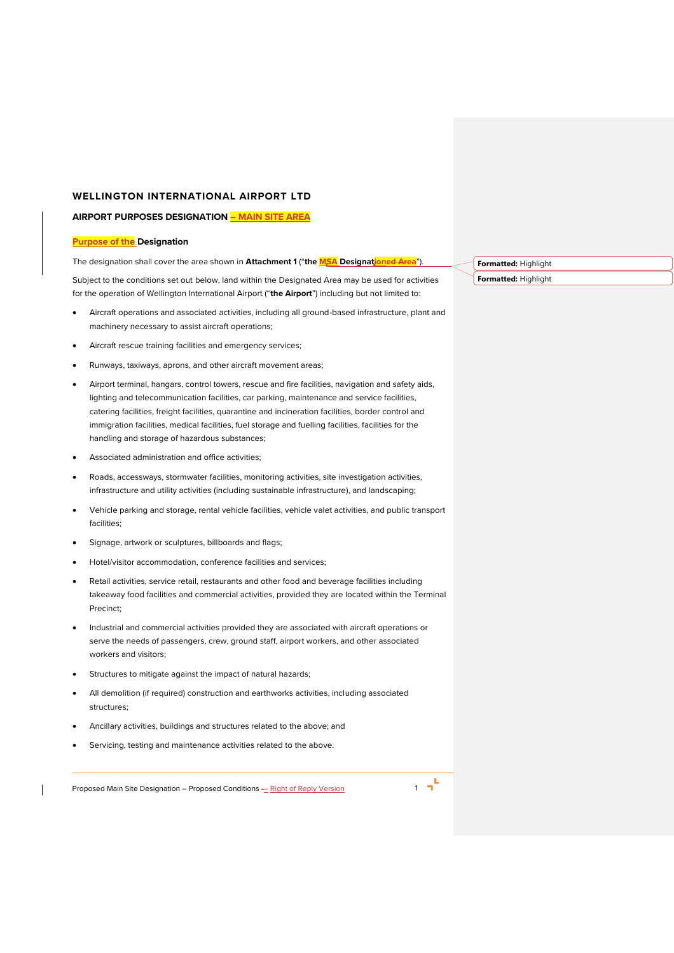# **WELLINGTON INTERNATIONAL AIRPORT LTD**

# **AIRPORT PURPOSES DESIGNATION – MAIN SITE AREA**

# **Purpose of the Designation**

The designation shall cover the area shown in **Attachment 1** ("the MSA Designationed Area").

Subject to the conditions set out below, land within the Designated Area may be used for activities for the operation of Wellington International Airport ("**the Airport**") including but not limited to:

- Aircraft operations and associated activities, including all ground-based infrastructure, plant and machinery necessary to assist aircraft operations;
- Aircraft rescue training facilities and emergency services;
- Runways, taxiways, aprons, and other aircraft movement areas;
- Airport terminal, hangars, control towers, rescue and fire facilities, navigation and safety aids, lighting and telecommunication facilities, car parking, maintenance and service facilities, catering facilities, freight facilities, quarantine and incineration facilities, border control and immigration facilities, medical facilities, fuel storage and fuelling facilities, facilities for the handling and storage of hazardous substances;
- Associated administration and office activities;
- Roads, accessways, stormwater facilities, monitoring activities, site investigation activities, infrastructure and utility activities (including sustainable infrastructure), and landscaping;
- Vehicle parking and storage, rental vehicle facilities, vehicle valet activities, and public transport facilities;
- Signage, artwork or sculptures, billboards and flags;
- Hotel/visitor accommodation, conference facilities and services;
- Retail activities, service retail, restaurants and other food and beverage facilities including takeaway food facilities and commercial activities, provided they are located within the Terminal Precinct;
- Industrial and commercial activities provided they are associated with aircraft operations or serve the needs of passengers, crew, ground staff, airport workers, and other associated workers and visitors;
- Structures to mitigate against the impact of natural hazards;
- All demolition (if required) construction and earthworks activities, including associated structures;
- Ancillary activities, buildings and structures related to the above; and
- Servicing, testing and maintenance activities related to the above.

Proposed Main Site Designation – Proposed Conditions – Right of Reply Version 1 1 1



**Formatted:** Highlight **Formatted:** Highlight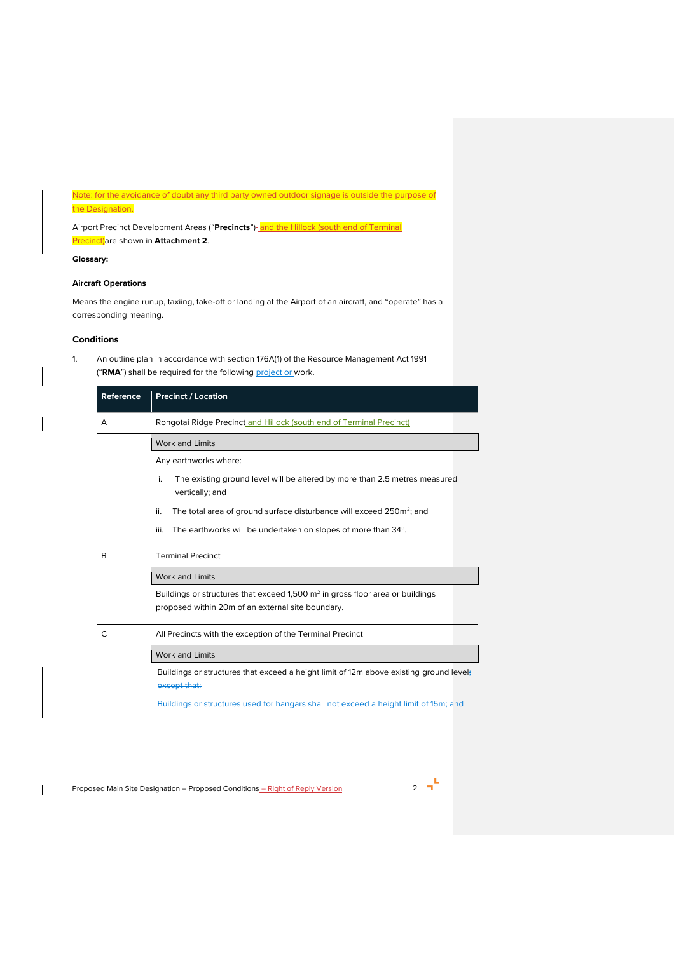# Note: for the avoidance of doubt any third party owned outdoor signage is outside the purpose of

# the Designation.

Airport Precinct Development Areas ("Precincts")-**and the Hillock (south end of Terminal** Precinct)are shown in **Attachment 2**.

# **Glossary:**

# **Aircraft Operations**

Means the engine runup, taxiing, take-off or landing at the Airport of an aircraft, and "operate" has a corresponding meaning.

# **Conditions**

<span id="page-1-0"></span>1. An outline plan in accordance with section 176A(1) of the Resource Management Act 1991 ("RMA") shall be required for the following **project or work**.

| Reference | <b>Precinct / Location</b>                                                                                                           |  |  |  |
|-----------|--------------------------------------------------------------------------------------------------------------------------------------|--|--|--|
| А         | Rongotal Ridge Precinct and Hillock (south end of Terminal Precinct)                                                                 |  |  |  |
|           | <b>Work and Limits</b>                                                                                                               |  |  |  |
|           | Any earthworks where:                                                                                                                |  |  |  |
|           | The existing ground level will be altered by more than 2.5 metres measured<br>i.<br>vertically; and                                  |  |  |  |
|           | ii.<br>The total area of ground surface disturbance will exceed 250m <sup>2</sup> ; and                                              |  |  |  |
|           | iii.<br>The earthworks will be undertaken on slopes of more than 34°.                                                                |  |  |  |
| R         | <b>Terminal Precinct</b>                                                                                                             |  |  |  |
|           | <b>Work and Limits</b>                                                                                                               |  |  |  |
|           | Buildings or structures that exceed 1,500 $m2$ in gross floor area or buildings<br>proposed within 20m of an external site boundary. |  |  |  |
| C         | All Precincts with the exception of the Terminal Precinct                                                                            |  |  |  |
|           | Work and Limits                                                                                                                      |  |  |  |
|           | Buildings or structures that exceed a height limit of 12m above existing ground level;<br>except that:                               |  |  |  |
|           | Buildings or structures used for hangars shall not exceed a height limit of 15m; and                                                 |  |  |  |

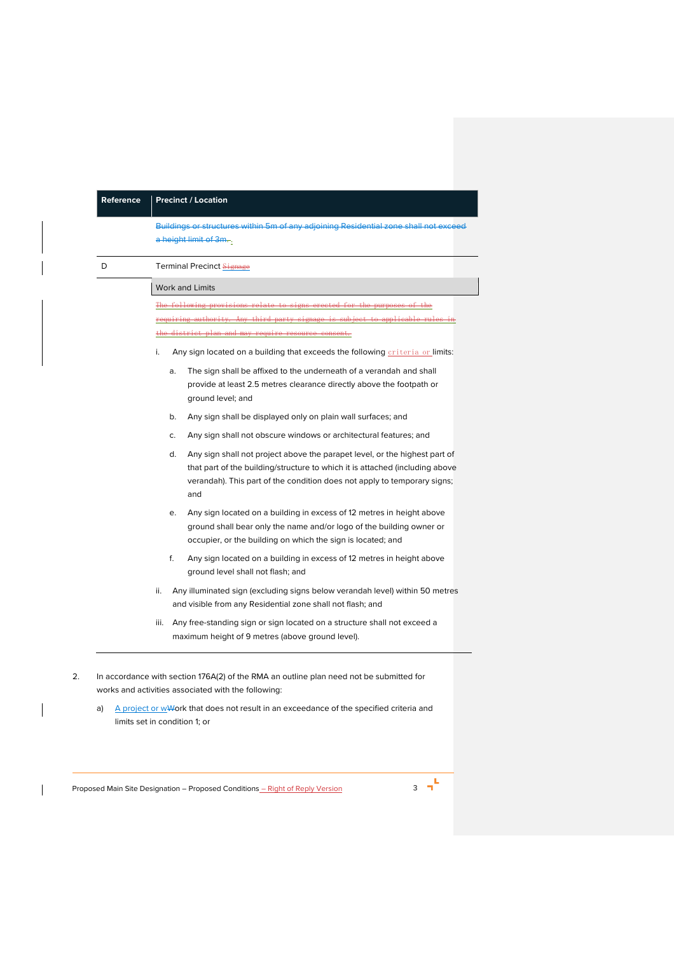|   | Buildings or structures within 5m of any adjoining Residential zone shall not exceed<br>a height limit of 3m.                                                                                                                                       |
|---|-----------------------------------------------------------------------------------------------------------------------------------------------------------------------------------------------------------------------------------------------------|
| D | Terminal Precinct Signage                                                                                                                                                                                                                           |
|   | <b>Work and Limits</b>                                                                                                                                                                                                                              |
|   | The following provisions relate to signs erected for the purposes of the                                                                                                                                                                            |
|   | requiring authority. Any third party signage is subject to applicable rules in                                                                                                                                                                      |
|   | the district plan and may require resource consent.                                                                                                                                                                                                 |
|   | Any sign located on a building that exceeds the following criteria or limits:<br>i.                                                                                                                                                                 |
|   | The sign shall be affixed to the underneath of a verandah and shall<br>a.<br>provide at least 2.5 metres clearance directly above the footpath or<br>ground level; and                                                                              |
|   | b.<br>Any sign shall be displayed only on plain wall surfaces; and                                                                                                                                                                                  |
|   | Any sign shall not obscure windows or architectural features; and<br>C.                                                                                                                                                                             |
|   | d.<br>Any sign shall not project above the parapet level, or the highest part of<br>that part of the building/structure to which it is attached (including above<br>verandah). This part of the condition does not apply to temporary signs;<br>and |
|   | Any sign located on a building in excess of 12 metres in height above<br>е.<br>ground shall bear only the name and/or logo of the building owner or<br>occupier, or the building on which the sign is located; and                                  |
|   | f.<br>Any sign located on a building in excess of 12 metres in height above<br>ground level shall not flash; and                                                                                                                                    |
|   | Any illuminated sign (excluding signs below verandah level) within 50 metres<br>ii.<br>and visible from any Residential zone shall not flash; and                                                                                                   |
|   | Any free-standing sign or sign located on a structure shall not exceed a<br>iii.<br>maximum height of 9 metres (above ground level).                                                                                                                |
|   | In accordance with section 176A(2) of the RMA an outline plan need not be submitted for<br>works and activities associated with the following:                                                                                                      |

Proposed Main Site Designation – Proposed Conditions <u>– Right of Reply Version</u> 3 3 <sup>-</sup>

 $\overline{\phantom{a}}$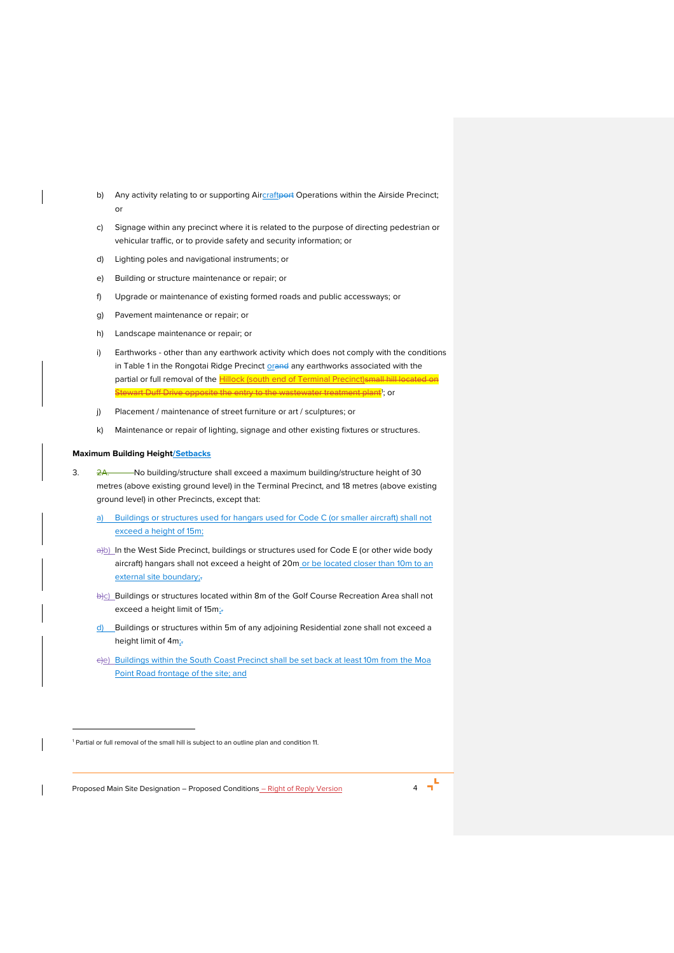- b) Any activity relating to or supporting Aircraftport Operations within the Airside Precinct; or
- c) Signage within any precinct where it is related to the purpose of directing pedestrian or vehicular traffic, or to provide safety and security information; or
- d) Lighting poles and navigational instruments; or
- e) Building or structure maintenance or repair; or
- f) Upgrade or maintenance of existing formed roads and public accessways; or
- g) Pavement maintenance or repair; or
- h) Landscape maintenance or repair; or
- i) Earthworks other than any earthwork activity which does not comply with the conditions in Table 1 in the Rongotai Ridge Precinct **orand any earthworks associated with the** partial or full removal of the **Hillock** (south end of Terminal Precinct) small hill located on Stewart Duff Drive opposite the entry to the wastewater treatment plant<sup>1</sup>; or
- j) Placement / maintenance of street furniture or art / sculptures; or
- k) Maintenance or repair of lighting, signage and other existing fixtures or structures.

# **Maximum Building Height/Setbacks**

- 3. 2A. No building/structure shall exceed a maximum building/structure height of 30 metres (above existing ground level) in the Terminal Precinct, and 18 metres (above existing ground level) in other Precincts, except that:
	- a) Buildings or structures used for hangars used for Code C (or smaller aircraft) shall not exceed a height of 15m;
	- a)b) In the West Side Precinct, buildings or structures used for Code E (or other wide body aircraft) hangars shall not exceed a height of 20m or be located closer than 10m to an external site boundary;-
	- b)c) Buildings or structures located within 8m of the Golf Course Recreation Area shall not exceed a height limit of 15m;
	- d) Buildings or structures within 5m of any adjoining Residential zone shall not exceed a height limit of 4m;
	- c)e) Buildings within the South Coast Precinct shall be set back at least 10m from the Moa Point Road frontage of the site; and

Proposed Main Site Designation – Proposed Conditions <u>– Right of Reply Version</u> 4 **1** 

<sup>1</sup> Partial or full removal of the small hill is subject to an outline plan and conditio[n 11.](#page-7-0)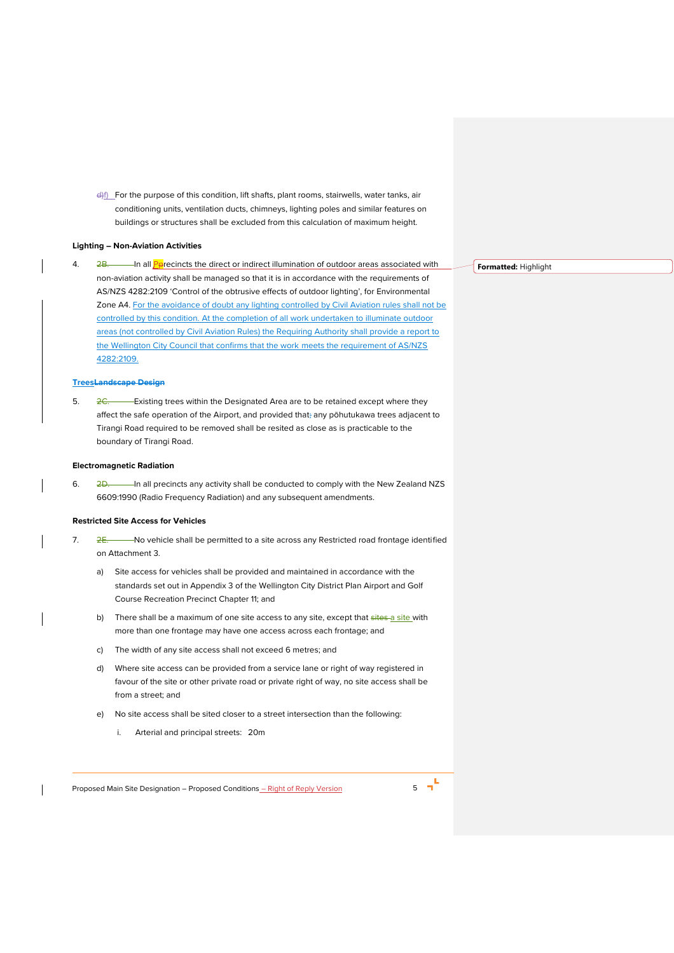d) For the purpose of this condition, lift shafts, plant rooms, stairwells, water tanks, air conditioning units, ventilation ducts, chimneys, lighting poles and similar features on buildings or structures shall be excluded from this calculation of maximum height.

#### **Lighting – Non-Aviation Activities**

4. 2B. In all *Pprecincts the direct or indirect illumination of outdoor areas associated with* non-aviation activity shall be managed so that it is in accordance with the requirements of AS/NZS 4282:2109 'Control of the obtrusive effects of outdoor lighting', for Environmental Zone A4. For the avoidance of doubt any lighting controlled by Civil Aviation rules shall not be controlled by this condition. At the completion of all work undertaken to illuminate outdoor areas (not controlled by Civil Aviation Rules) the Requiring Authority shall provide a report to the Wellington City Council that confirms that the work meets the requirement of AS/NZS 4282:2109.

# **TreesLandscape Design**

5.  $2C$  Existing trees within the Designated Area are to be retained except where they affect the safe operation of the Airport, and provided that; any pōhutukawa trees adjacent to Tirangi Road required to be removed shall be resited as close as is practicable to the boundary of Tirangi Road.

# **Electromagnetic Radiation**

6. 2D. In all precincts any activity shall be conducted to comply with the New Zealand NZS 6609:1990 (Radio Frequency Radiation) and any subsequent amendments.

#### **Restricted Site Access for Vehicles**

- 7. 2E. No vehicle shall be permitted to a site across any Restricted road frontage identified on Attachment 3.
	- a) Site access for vehicles shall be provided and maintained in accordance with the standards set out in Appendix 3 of the Wellington City District Plan Airport and Golf Course Recreation Precinct Chapter 11; and
	- b) There shall be a maximum of one site access to any site, except that sites a site with more than one frontage may have one access across each frontage; and
	- c) The width of any site access shall not exceed 6 metres; and
	- d) Where site access can be provided from a service lane or right of way registered in favour of the site or other private road or private right of way, no site access shall be from a street; and
	- e) No site access shall be sited closer to a street intersection than the following:
		- i. Arterial and principal streets: 20m

Proposed Main Site Designation – Proposed Conditions <u>– Right of Reply Version</u> 5 5 <sup>-</sup>

**Formatted:** Highlight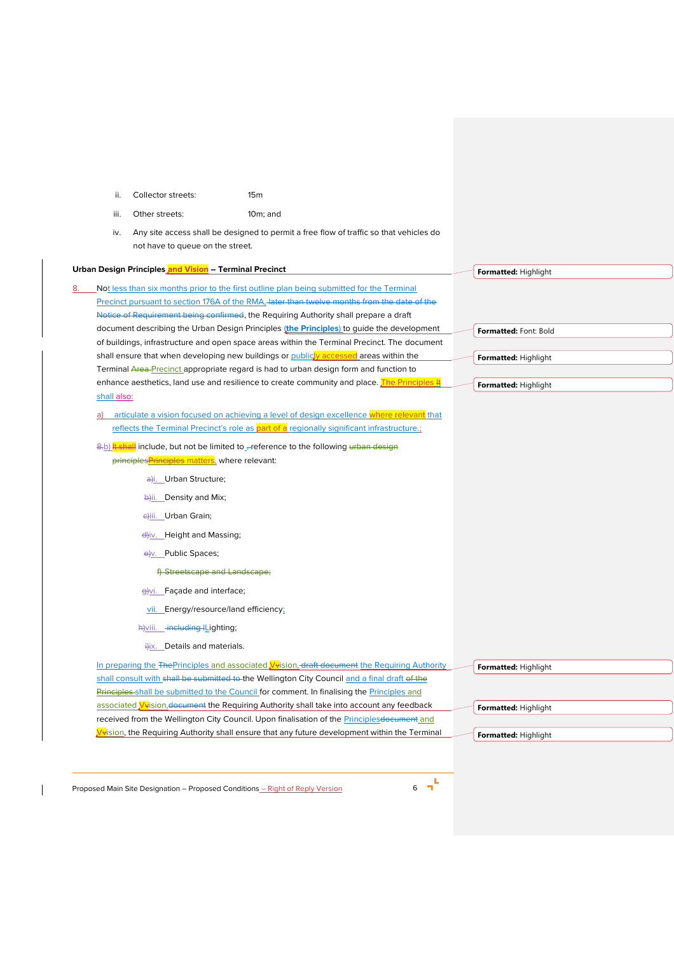<span id="page-5-0"></span>

|    | ii.         | Collector streets:                                     | 15 <sub>m</sub>                                                                                                                                                                         |  |
|----|-------------|--------------------------------------------------------|-----------------------------------------------------------------------------------------------------------------------------------------------------------------------------------------|--|
|    | iii.        | Other streets:                                         | $10m$ ; and                                                                                                                                                                             |  |
|    | iv.         |                                                        | Any site access shall be designed to permit a free flow of traffic so that vehicles do                                                                                                  |  |
|    |             | not have to queue on the street.                       |                                                                                                                                                                                         |  |
|    |             | Urban Design Principles and Vision - Terminal Precinct |                                                                                                                                                                                         |  |
|    |             |                                                        | Not less than six months prior to the first outline plan being submitted for the Terminal                                                                                               |  |
|    |             |                                                        | Precinct pursuant to section 176A of the RMA, later than twelve months from the date of the                                                                                             |  |
|    |             |                                                        | Notice of Requirement being confirmed, the Requiring Authority shall prepare a draft                                                                                                    |  |
|    |             |                                                        | document describing the Urban Design Principles (the Principles) to guide the development                                                                                               |  |
|    |             |                                                        | of buildings, infrastructure and open space areas within the Terminal Precinct. The document                                                                                            |  |
|    |             |                                                        | shall ensure that when developing new buildings or publicty accessed areas within the                                                                                                   |  |
|    |             |                                                        | Terminal Area-Precinct appropriate regard is had to urban design form and function to<br>enhance aesthetics, land use and resilience to create community and place. The Principles #    |  |
|    | shall also: |                                                        |                                                                                                                                                                                         |  |
|    |             |                                                        |                                                                                                                                                                                         |  |
| a) |             |                                                        | articulate a vision focused on achieving a level of design excellence where relevant that<br>reflects the Terminal Precinct's role as part of a regionally significant infrastructure.; |  |
|    |             |                                                        |                                                                                                                                                                                         |  |
|    |             | principles Principles matters, where relevant:         | 8.b) It shall include, but not be limited to reference to the following urban design                                                                                                    |  |
|    |             |                                                        |                                                                                                                                                                                         |  |
|    |             | a <sub>ti.</sub> Urban Structure;                      |                                                                                                                                                                                         |  |
|    |             | bii. Density and Mix;                                  |                                                                                                                                                                                         |  |
|    |             | eliii. Urban Grain;                                    |                                                                                                                                                                                         |  |
|    |             | et <sub>iv.</sub> Height and Massing;                  |                                                                                                                                                                                         |  |
|    |             | e <sub>y</sub> . Public Spaces;                        |                                                                                                                                                                                         |  |
|    |             | f) Streetscape and Landscape;                          |                                                                                                                                                                                         |  |
|    |             | <del>g</del> )vi. Façade and interface;                |                                                                                                                                                                                         |  |
|    |             | vii. Energy/resource/land efficiency;                  |                                                                                                                                                                                         |  |
|    |             | h) viii. including ILighting;                          |                                                                                                                                                                                         |  |
|    |             | ilix. Details and materials.                           |                                                                                                                                                                                         |  |
|    |             |                                                        | In preparing the ThePrinciples and associated <i>N</i> yision, draft document the Requiring Authority                                                                                   |  |
|    |             |                                                        | shall consult with shall be submitted to the Wellington City Council and a final draft of the                                                                                           |  |
|    |             |                                                        | Principles-shall be submitted to the Council for comment. In finalising the Principles and                                                                                              |  |
|    |             |                                                        | associated Vyision, document the Requiring Authority shall take into account any feedback                                                                                               |  |
|    |             |                                                        | received from the Wellington City Council. Upon finalisation of the Principles document and                                                                                             |  |
|    |             |                                                        | V <del>y</del> ision, the Requiring Authority shall ensure that any future development within the Terminal                                                                              |  |

Proposed Main Site Designation – Proposed Conditions <u>– Right of Reply Version</u> 6 **– 6 – 1** 

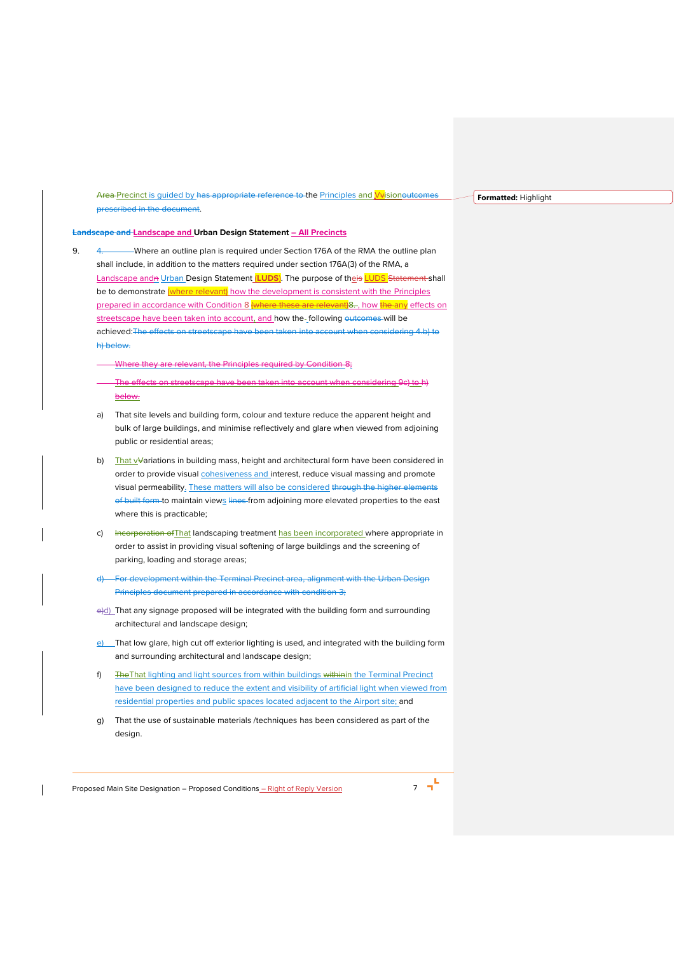Area Precinct is quided by has appropriate reference to the Principles and Vvisionoutcomes prescribed in the document.

**Formatted:** Highlight

# **Landscape and Landscape and Urban Design Statement – All Precincts**

- <span id="page-6-1"></span><span id="page-6-0"></span>9. 4. Where an outline plan is required under Section 176A of the RMA the outline plan shall include, in addition to the matters required under section 176A(3) of the RMA, a Landscape and<del>n</del> Urban Design Statement *[LUDS]*. The purpose of theis LUDS Statement shall be to demonstrate (where relevant) how the development is consistent with the Principles prepared in accordance with Condition [8](#page-5-0) (where these are relevant)8., how the any effects on streetscape have been taken into account, and how the-following outcomes will be achieved:The effects on streetscape have been taken into account when considering 4 b) to h) below.
	- Where they are relevant, the Principles required by Condition [8;](#page-5-0)
	- The effects on streetscape have been taken into account when considering [9](#page-6-0)[c\)](#page-6-1) t[o h\)](#page-6-2) below.
	- a) That site levels and building form, colour and texture reduce the apparent height and bulk of large buildings, and minimise reflectively and glare when viewed from adjoining public or residential areas;
	- b) That vVariations in building mass, height and architectural form have been considered in order to provide visual **cohesiveness and** interest, reduce visual massing and promote visual permeability. These matters will also be considered through the higher elements of built form to maintain views lines from adjoining more elevated properties to the east where this is practicable;
	- c) Incorporation of That landscaping treatment has been incorporated where appropriate in order to assist in providing visual softening of large buildings and the screening of parking, loading and storage areas;
	- d) For development within the Terminal Precinct area, alignment with the Urban Design Principles document prepared in accordance with condition 3;
	- e)d) That any signage proposed will be integrated with the building form and surrounding architectural and landscape design;
	- e) That low glare, high cut off exterior lighting is used, and integrated with the building form and surrounding architectural and landscape design;
	- f) The That lighting and light sources from within buildings withinin the Terminal Precinct have been designed to reduce the extent and visibility of artificial light when viewed from residential properties and public spaces located adjacent to the Airport site; and
	- g) That the use of sustainable materials /techniques has been considered as part of the design.

<span id="page-6-2"></span>Proposed Main Site Designation – Proposed Conditions <u>– Right of Reply Version</u> 7 7 7

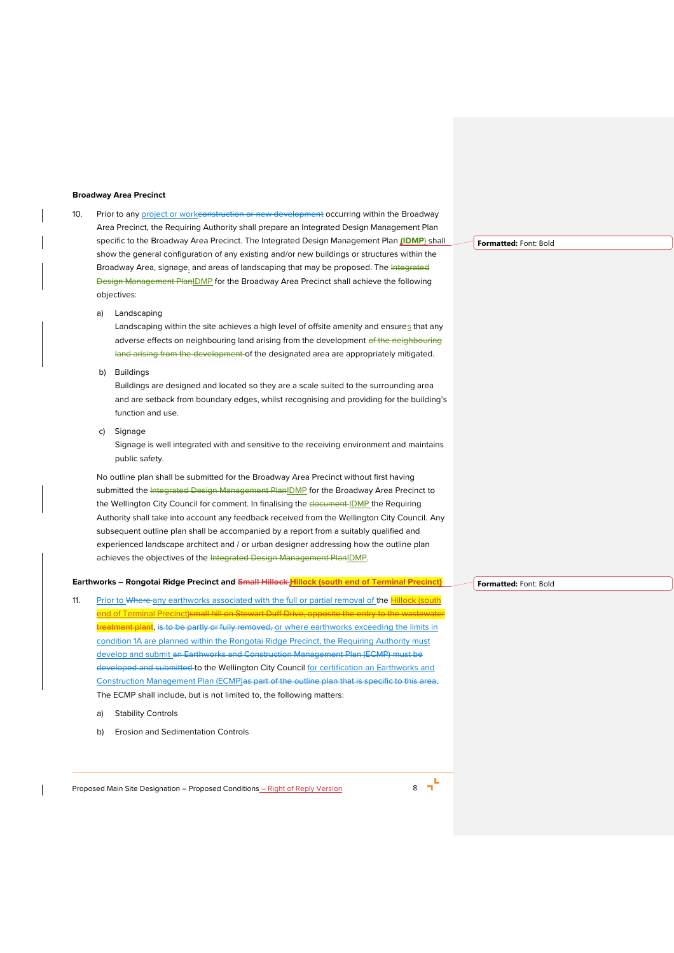#### **Broadway Area Precinct**

- 10. Prior to any project or workconstruction or new development occurring within the Broadway Area Precinct, the Requiring Authority shall prepare an Integrated Design Management Plan specific to the Broadway Area Precinct. The Integrated Design Management Plan **(IDMP**) shall show the general configuration of any existing and/or new buildings or structures within the Broadway Area, signage, and areas of landscaping that may be proposed. The Integrated **Design Management PlanIDMP** for the Broadway Area Precinct shall achieve the following objectives:
	- a) Landscaping

Landscaping within the site achieves a high level of offsite amenity and ensures that any adverse effects on neighbouring land arising from the development of the neighbouring land arising from the development of the designated area are appropriately mitigated.

b) Buildings

Buildings are designed and located so they are a scale suited to the surrounding area and are setback from boundary edges, whilst recognising and providing for the building's function and use.

c) Signage

Signage is well integrated with and sensitive to the receiving environment and maintains public safety.

No outline plan shall be submitted for the Broadway Area Precinct without first having submitted the Integrated Design Management PlanIDMP for the Broadway Area Precinct to the Wellington City Council for comment. In finalising the document IDMP the Requiring Authority shall take into account any feedback received from the Wellington City Council. Any subsequent outline plan shall be accompanied by a report from a suitably qualified and experienced landscape architect and / or urban designer addressing how the outline plan achieves the objectives of the Integrated Design Management PlanIDMP.

#### **Earthworks – Rongotai Ridge Precinct and Small Hillock Hillock (south end of Terminal Precinct)**

- <span id="page-7-0"></span>11. Prior to Where any earthworks associated with the full or partial removal of the Hillock (south end of Terminal Precinct)small hill on Stewart Duff Drive, opptreatment plant, is to be partly or fully removed, or where earthworks exceeding the limits in condition 1A are planned within the Rongotai Ridge Precinct, the Requiring Authority must develop and submit an Earthworks and Construction Management Plan (ECMP) must be developed and submitted to the Wellington City Council for certification an Earthworks and Construction Management Plan (ECMP)as part of the outline plan that is specific to this area. The ECMP shall include, but is not limited to, the following matters:
	- a) Stability Controls
	- b) Erosion and Sedimentation Controls

Proposed Main Site Designation – Proposed Conditions – Right of Reply Version 8

**Formatted:** Font: Bold

**Formatted:** Font: Bold

 $\mathbf{r}$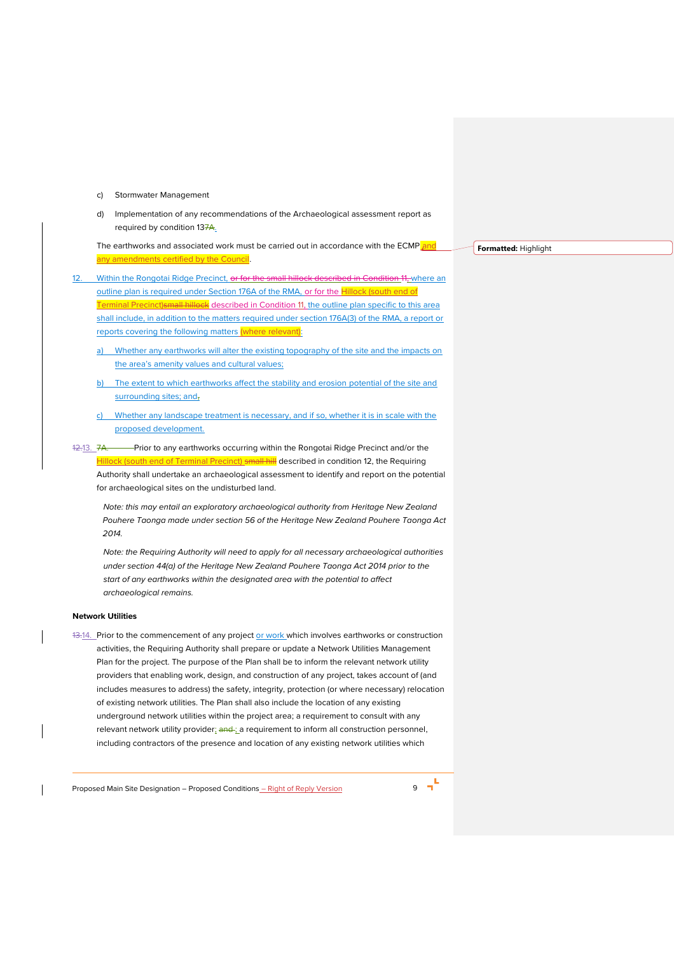- c) Stormwater Management
- d) Implementation of any recommendations of the Archaeological assessment report as required by condition [137](#page-8-0)A.

The earthworks and associated work must be carried out in accordance with the ECMP and ny amendments certified by the Council.

<span id="page-8-1"></span>Within the Rongotai Ridge Precinct, or for the small hillock described in Conditio[n 11,](#page-7-0) where an outline plan is required under Section 176A of the RMA, or for the **Hillock** (south end of Terminal Precinct)small hillock described in Condition [11,](#page-7-0) the outline plan specific to this area shall include, in addition to the matters required under section 176A(3) of the RMA, a report or reports covering the following matters (where relevant):

- a) Whether any earthworks will alter the existing topography of the site and the impacts on the area's amenity values and cultural values;
- b) The extent to which earthworks affect the stability and erosion potential of the site and surrounding sites; and,
- Whether any landscape treatment is necessary, and if so, whether it is in scale with the proposed development.
- <span id="page-8-0"></span>12.13. 7A. Prior to any earthworks occurring within the Rongotai Ridge Precinct and/or the Hillock (south end of Terminal Precinct) small hill described in conditio[n 12,](#page-8-1) the Requiring Authority shall undertake an archaeological assessment to identify and report on the potential for archaeological sites on the undisturbed land.

*Note: this may entail an exploratory archaeological authority from Heritage New Zealand Pouhere Taonga made under section 56 of the Heritage New Zealand Pouhere Taonga Act 2014.*

*Note: the Requiring Authority will need to apply for all necessary archaeological authorities under section 44(a) of the Heritage New Zealand Pouhere Taonga Act 2014 prior to the start of any earthworks within the designated area with the potential to affect archaeological remains.*

# **Network Utilities**

13.14. Prior to the commencement of any project or work which involves earthworks or construction activities, the Requiring Authority shall prepare or update a Network Utilities Management Plan for the project. The purpose of the Plan shall be to inform the relevant network utility providers that enabling work, design, and construction of any project, takes account of (and includes measures to address) the safety, integrity, protection (or where necessary) relocation of existing network utilities. The Plan shall also include the location of any existing underground network utilities within the project area; a requirement to consult with any relevant network utility provider; and ; a requirement to inform all construction personnel, including contractors of the presence and location of any existing network utilities which

Proposed Main Site Designation – Proposed Conditions – Right of Reply Version 9



**Formatted:** Highlight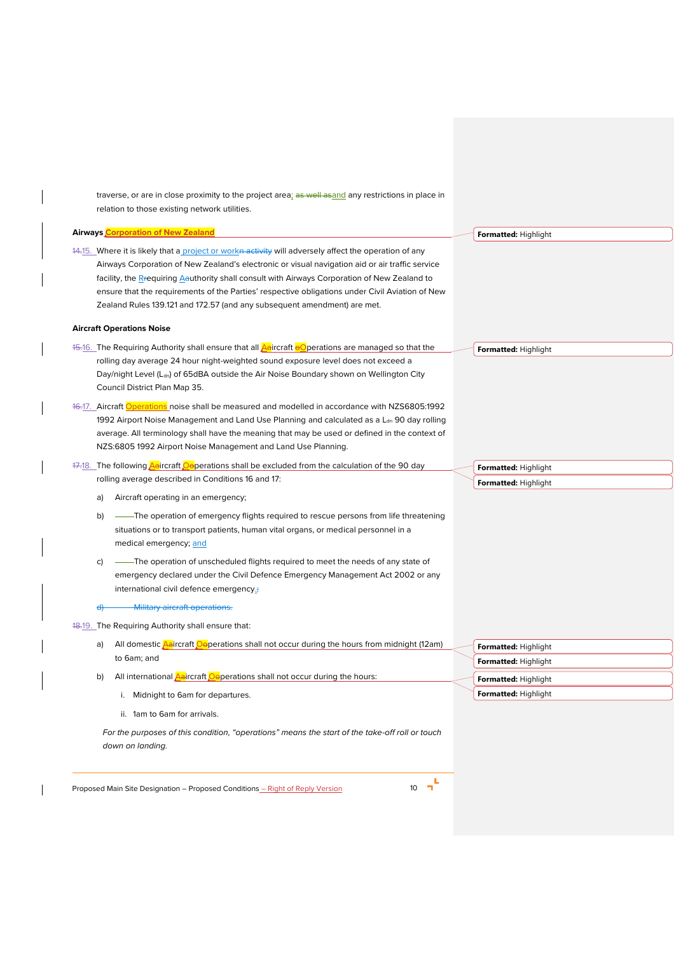traverse, or are in close proximity to the project area; as well asand any restrictions in place in relation to those existing network utilities.

#### **Airways Corporation of New Zealand**

14.15. Where it is likely that a project or workn activity will adversely affect the operation of any Airways Corporation of New Zealand's electronic or visual navigation aid or air traffic service facility, the Rrequiring Aauthority shall consult with Airways Corporation of New Zealand to ensure that the requirements of the Parties' respective obligations under Civil Aviation of New Zealand Rules 139.121 and 172.57 (and any subsequent amendment) are met.

#### **Aircraft Operations Noise**

- <span id="page-9-0"></span>15.16. The Requiring Authority shall ensure that all <mark>Aa</mark>ircraft <mark>eO</mark>perations are managed so that the rolling day average 24 hour night-weighted sound exposure level does not exceed a Day/night Level (Ldn) of 65dBA outside the Air Noise Boundary shown on Wellington City Council District Plan Map 35.
- <span id="page-9-1"></span>16.17. Aircraft Operations noise shall be measured and modelled in accordance with NZS6805:1992 1992 Airport Noise Management and Land Use Planning and calculated as a  $L_{dn}$  90 day rolling average. All terminology shall have the meaning that may be used or defined in the context of NZS:6805 1992 Airport Noise Management and Land Use Planning.
- 17.18. The following **Aaircraft Ooperations shall be excluded from the calculation of the 90 day** rolling average described in Conditions [16](#page-9-0) and [17:](#page-9-1)
	- a) Aircraft operating in an emergency;
	- b) -- The operation of emergency flights required to rescue persons from life threatening situations or to transport patients, human vital organs, or medical personnel in a medical emergency; and
	- c) ——The operation of unscheduled flights required to meet the needs of any state of emergency declared under the Civil Defence Emergency Management Act 2002 or any international civil defence emergency.;
	- Military aircraft operation

<span id="page-9-2"></span>18.19. The Requiring Authority shall ensure that:

- a) All domestic **Aaircraft Oeperations shall not occur during the hours from midnight (12am)** to 6am; and
- b) All international  $\frac{\Delta a}{\Delta t}$  craft  $\frac{a}{\Delta t}$  are shall not occur during the hours:
	- i. Midnight to 6am for departures.
	- ii. 1am to 6am for arrivals.

*For the purposes of this condition, "operations" means the start of the take-off roll or touch down on landing.* 

Proposed Main Site Designation – Proposed Conditions – Right of Reply Version 10

Îп,

| Formatted: Highlight |
|----------------------|
| Formatted: Highlight |
| Formatted: Highlight |
| Formatted: Highlight |

**Formatted:** Highlight

**Formatted:** Highlight

**Formatted:** Highlight **Formatted:** Highlight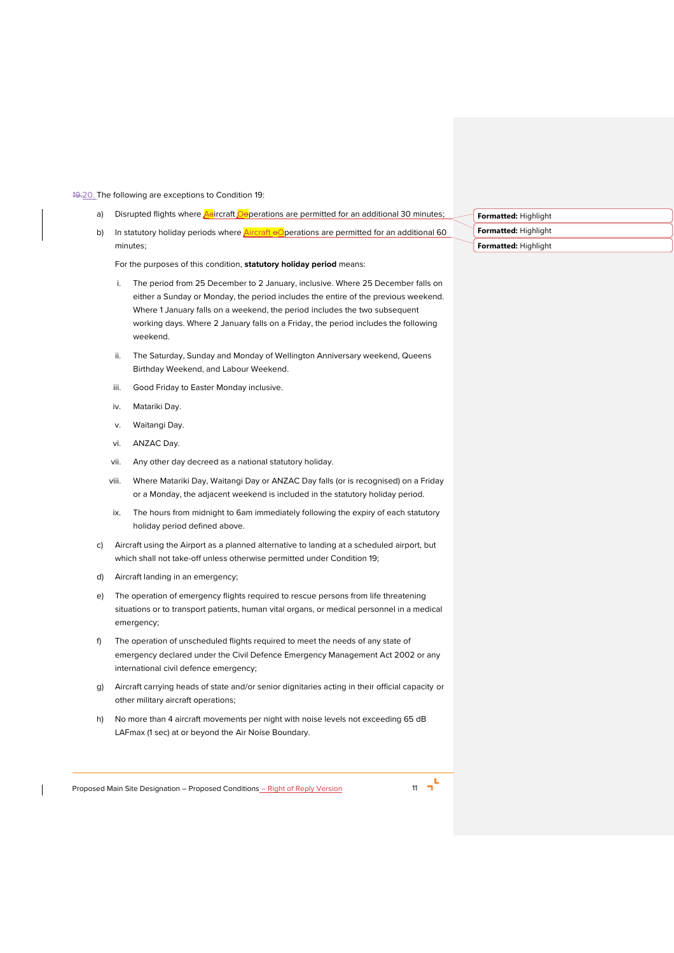#### 19.20. The following are exceptions to Condition [19:](#page-9-2)

- a) Disrupted flights where **Aaircraft Oeperations are permitted for an additional 30 minutes;**
- b) In statutory holiday periods where  $\frac{\text{Aircraft }\Theta}{\text{Operating}}$  are permitted for an additional 60 minutes;

For the purposes of this condition, **statutory holiday period** means:

- i. The period from 25 December to 2 January, inclusive. Where 25 December falls on either a Sunday or Monday, the period includes the entire of the previous weekend. Where 1 January falls on a weekend, the period includes the two subsequent working days. Where 2 January falls on a Friday, the period includes the following weekend.
- ii. The Saturday, Sunday and Monday of Wellington Anniversary weekend, Queens Birthday Weekend, and Labour Weekend.
- iii. Good Friday to Easter Monday inclusive.
- iv. Matariki Day.
- v. Waitangi Day.
- vi. ANZAC Day.
- vii. Any other day decreed as a national statutory holiday.
- viii. Where Matariki Day, Waitangi Day or ANZAC Day falls (or is recognised) on a Friday or a Monday, the adjacent weekend is included in the statutory holiday period.
- ix. The hours from midnight to 6am immediately following the expiry of each statutory holiday period defined above.
- c) Aircraft using the Airport as a planned alternative to landing at a scheduled airport, but which shall not take-off unless otherwise permitted under Condition [19;](#page-9-2)
- d) Aircraft landing in an emergency;
- e) The operation of emergency flights required to rescue persons from life threatening situations or to transport patients, human vital organs, or medical personnel in a medical emergency;
- f) The operation of unscheduled flights required to meet the needs of any state of emergency declared under the Civil Defence Emergency Management Act 2002 or any international civil defence emergency;
- g) Aircraft carrying heads of state and/or senior dignitaries acting in their official capacity or other military aircraft operations;
- h) No more than 4 aircraft movements per night with noise levels not exceeding 65 dB LAFmax (1 sec) at or beyond the Air Noise Boundary.

L<br>Proposed Main Site Designation – Proposed Conditions <u>– Right of Reply Version</u> 11 11 1

| Formatted: Highlight |  |
|----------------------|--|
| Formatted: Highlight |  |
| Formatted: Highlight |  |

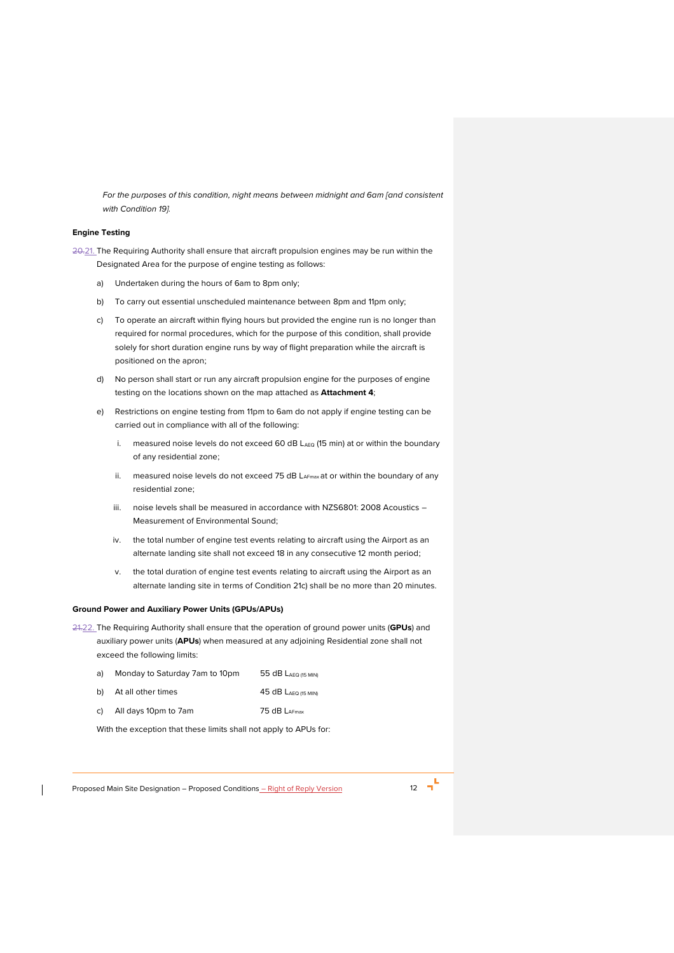*For the purposes of this condition, night means between midnight and 6am [and consistent with Conditio[n 19\]](#page-9-2).*

#### **Engine Testing**

<span id="page-11-0"></span>20.21. The Requiring Authority shall ensure that aircraft propulsion engines may be run within the Designated Area for the purpose of engine testing as follows:

- a) Undertaken during the hours of 6am to 8pm only;
- b) To carry out essential unscheduled maintenance between 8pm and 11pm only;
- <span id="page-11-1"></span>c) To operate an aircraft within flying hours but provided the engine run is no longer than required for normal procedures, which for the purpose of this condition, shall provide solely for short duration engine runs by way of flight preparation while the aircraft is positioned on the apron;
- d) No person shall start or run any aircraft propulsion engine for the purposes of engine testing on the locations shown on the map attached as **Attachment 4**;
- e) Restrictions on engine testing from 11pm to 6am do not apply if engine testing can be carried out in compliance with all of the following:
	- i. measured noise levels do not exceed 60 dB  $L_{AEG}$  (15 min) at or within the boundary of any residential zone;
	- ii. measured noise levels do not exceed 75 dB LAFmax at or within the boundary of any residential zone;
	- iii. noise levels shall be measured in accordance with NZS6801: 2008 Acoustics Measurement of Environmental Sound;
	- iv. the total number of engine test events relating to aircraft using the Airport as an alternate landing site shall not exceed 18 in any consecutive 12 month period;
	- v. the total duration of engine test events relating to aircraft using the Airport as an alternate landing site in terms of Condition [21](#page-11-0)[c\)](#page-11-1) shall be no more than 20 minutes.

#### **Ground Power and Auxiliary Power Units (GPUs/APUs)**

21.22. The Requiring Authority shall ensure that the operation of ground power units (**GPUs**) and auxiliary power units (**APUs**) when measured at any adjoining Residential zone shall not exceed the following limits:

| a)   | Monday to Saturday 7am to 10pm | 55 $dB$ Laeq (15 MIN)             |
|------|--------------------------------|-----------------------------------|
| b) l | At all other times             | $45$ dB $L_{\text{AEO (15 MIN)}}$ |
| c) – | All days 10pm to 7am           | 75 dB LAFmax                      |

With the exception that these limits shall not apply to APUs for: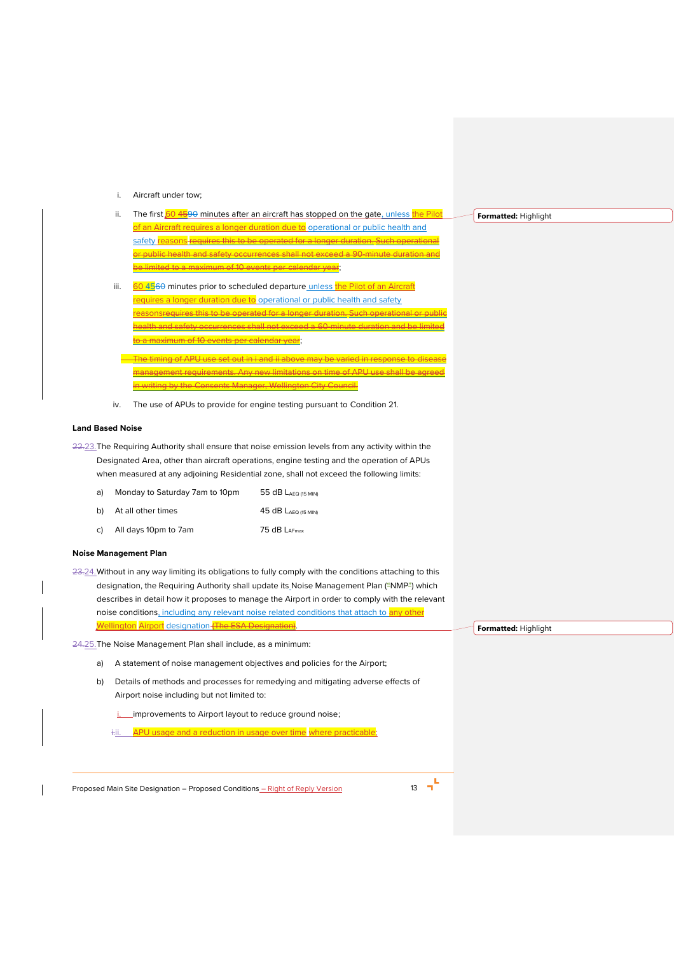# i. Aircraft under tow;

- ii. The first  $604590$  minutes after an aircraft has stopped on the gate, unless the Pilot Aircraft requires a longer duration due to operational or public health and safety reasons requires this to be operated for a longer duration. Su th and safety occurrences shall not excee ed to a maximum of 10 events per calendar vear:
- iii. 60 4560 minutes prior to scheduled departure unless the Pilot of an Aircraft requires a longer duration due to operational or public health and safety his to be operated for a longer duration. Such health and safety occurrences shall not exceed a 60-minute duration and be limited to a maximum of 10 events per calendar year;
- The timing of APU use set out in i and ii above may be varied in response to disease management requirements. Any new limitations on time of APU use shall be agreed w the Consents Manager, Wellington City Council.
- iv. The use of APUs to provide for engine testing pursuant to Conditio[n 21.](#page-11-0)

#### **Land Based Noise**

<span id="page-12-0"></span>22.23. The Requiring Authority shall ensure that noise emission levels from any activity within the Designated Area, other than aircraft operations, engine testing and the operation of APUs when measured at any adjoining Residential zone, shall not exceed the following limits:

| Monday to Saturday 7am to 10pm<br>a)<br>55 $dB$ Laeq (15 MIN) |  |
|---------------------------------------------------------------|--|
|---------------------------------------------------------------|--|

- b) At all other times 45 dB LAEQ (15 MIN)
- c) All days 10pm to 7am 75 dB LAFmax

# **Noise Management Plan**

23.24.Without in any way limiting its obligations to fully comply with the conditions attaching to this designation, the Requiring Authority shall update its Noise Management Plan ("NMP") which describes in detail how it proposes to manage the Airport in order to comply with the relevant noise conditions, including any relevant noise related conditions that attach to any other Wellington Airport designation (The ESA Designation)

<span id="page-12-1"></span>24.25.The Noise Management Plan shall include, as a minimum:

- a) A statement of noise management objectives and policies for the Airport;
- b) Details of methods and processes for remedying and mitigating adverse effects of Airport noise including but not limited to:

i. \_\_ improvements to Airport layout to reduce ground noise;

i. APU usage and a reduction in usage over time where practicable;

Proposed Main Site Designation – Proposed Conditions – Right of Reply Version 13 13 1

**Formatted:** Highlight

**Formatted:** Highlight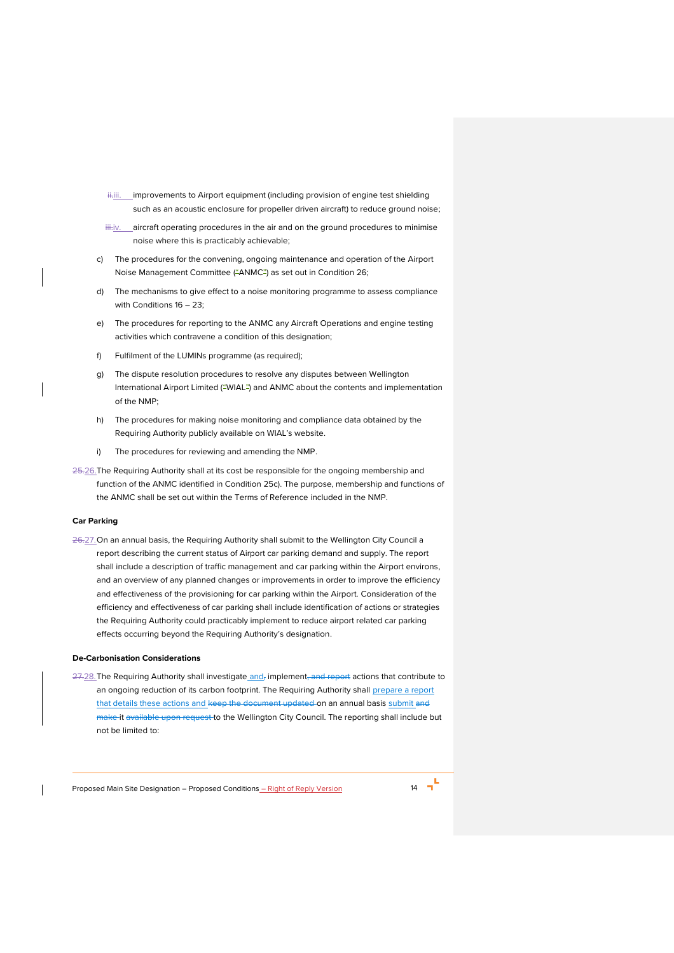- $\ddot{\text{t}}$ iii. improvements to Airport equipment (including provision of engine test shielding such as an acoustic enclosure for propeller driven aircraft) to reduce ground noise;
- iii.jv. \_\_ aircraft operating procedures in the air and on the ground procedures to minimise noise where this is practicably achievable;
- <span id="page-13-1"></span>c) The procedures for the convening, ongoing maintenance and operation of the Airport Noise Management Committee ("ANMC") as set out in Condition [26;](#page-13-0)
- d) The mechanisms to give effect to a noise monitoring programme to assess compliance with Conditions [16](#page-9-0) – [23;](#page-12-0)
- e) The procedures for reporting to the ANMC any Aircraft Operations and engine testing activities which contravene a condition of this designation;
- f) Fulfilment of the LUMINs programme (as required);
- g) The dispute resolution procedures to resolve any disputes between Wellington International Airport Limited ("WIAL") and ANMC about the contents and implementation of the NMP;
- h) The procedures for making noise monitoring and compliance data obtained by the Requiring Authority publicly available on WIAL's website.
- i) The procedures for reviewing and amending the NMP.
- <span id="page-13-0"></span>25.26.The Requiring Authority shall at its cost be responsible for the ongoing membership and function of the ANMC identified in Condition [25](#page-12-1)[c\).](#page-13-1) The purpose, membership and functions of the ANMC shall be set out within the Terms of Reference included in the NMP.

# **Car Parking**

26.27. On an annual basis, the Requiring Authority shall submit to the Wellington City Council a report describing the current status of Airport car parking demand and supply. The report shall include a description of traffic management and car parking within the Airport environs, and an overview of any planned changes or improvements in order to improve the efficiency and effectiveness of the provisioning for car parking within the Airport. Consideration of the efficiency and effectiveness of car parking shall include identification of actions or strategies the Requiring Authority could practicably implement to reduce airport related car parking effects occurring beyond the Requiring Authority's designation.

# **De-Carbonisation Considerations**

27.28. The Requiring Authority shall investigate and, implement, and report actions that contribute to an ongoing reduction of its carbon footprint. The Requiring Authority shall prepare a report that details these actions and keep the document updated on an annual basis submit and make it available upon request to the Wellington City Council. The reporting shall include but not be limited to: